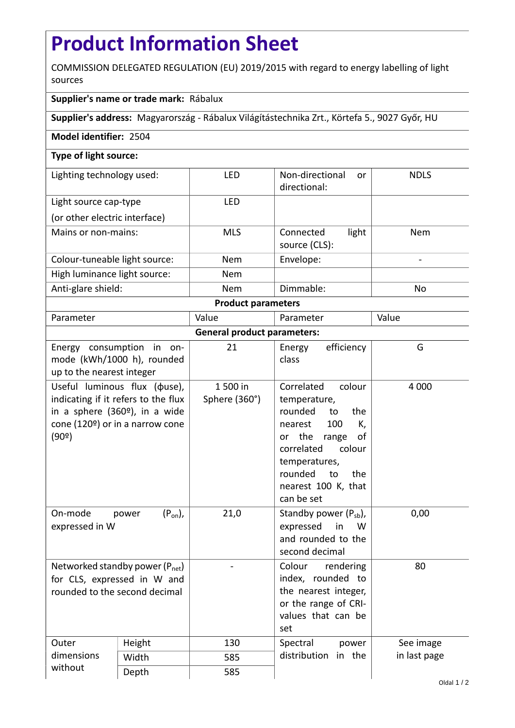## **Product Information Sheet**

COMMISSION DELEGATED REGULATION (EU) 2019/2015 with regard to energy labelling of light sources

## **Supplier's name or trade mark:** Rábalux

**Supplier's address:** Magyarország - Rábalux Világítástechnika Zrt., Körtefa 5., 9027 Győr, HU

## **Model identifier:** 2504

## **Type of light source:**

| Lighting technology used:     | <b>LED</b> | Non-directional<br><sub>or</sub><br>directional: | <b>NDLS</b> |  |  |  |
|-------------------------------|------------|--------------------------------------------------|-------------|--|--|--|
| Light source cap-type         | LFD        |                                                  |             |  |  |  |
| (or other electric interface) |            |                                                  |             |  |  |  |
| Mains or non-mains:           | <b>MLS</b> | light<br>Connected<br>source (CLS):              | <b>Nem</b>  |  |  |  |
| Colour-tuneable light source: | <b>Nem</b> | Envelope:                                        |             |  |  |  |
| High luminance light source:  | <b>Nem</b> |                                                  |             |  |  |  |
| Anti-glare shield:            | <b>Nem</b> | Dimmable:                                        | No          |  |  |  |
| <b>Product parameters</b>     |            |                                                  |             |  |  |  |

| Parameter                                                    |                                                                                                                                                             | Value                     | Parameter                                                                                                                                                                                                        | Value        |  |  |
|--------------------------------------------------------------|-------------------------------------------------------------------------------------------------------------------------------------------------------------|---------------------------|------------------------------------------------------------------------------------------------------------------------------------------------------------------------------------------------------------------|--------------|--|--|
| <b>General product parameters:</b>                           |                                                                                                                                                             |                           |                                                                                                                                                                                                                  |              |  |  |
| up to the nearest integer                                    | Energy consumption in on-<br>mode (kWh/1000 h), rounded                                                                                                     | 21                        | efficiency<br>Energy<br>class                                                                                                                                                                                    | G            |  |  |
| (90°)                                                        | Useful luminous flux ( $\phi$ use),<br>indicating if it refers to the flux<br>in a sphere (360 <sup>o</sup> ), in a wide<br>cone (120º) or in a narrow cone | 1 500 in<br>Sphere (360°) | Correlated<br>colour<br>temperature,<br>rounded<br>to<br>the<br>100<br>nearest<br>K,<br>or the range<br>οf<br>colour<br>correlated<br>temperatures,<br>rounded<br>to<br>the<br>nearest 100 K, that<br>can be set | 4 0 0 0      |  |  |
| On-mode<br>expressed in W                                    | $(P_{on})$ ,<br>power                                                                                                                                       | 21,0                      | Standby power $(P_{sb})$ ,<br>expressed<br>in<br>W<br>and rounded to the<br>second decimal                                                                                                                       | 0,00         |  |  |
| for CLS, expressed in W and<br>rounded to the second decimal | Networked standby power $(P_{net})$                                                                                                                         |                           | Colour<br>rendering<br>index, rounded to<br>the nearest integer,<br>or the range of CRI-<br>values that can be<br>set                                                                                            | 80           |  |  |
| Outer<br>dimensions                                          | Height                                                                                                                                                      | 130                       | Spectral<br>power<br>distribution<br>in the                                                                                                                                                                      | See image    |  |  |
|                                                              | Width                                                                                                                                                       | 585                       |                                                                                                                                                                                                                  | in last page |  |  |
| without                                                      | Depth                                                                                                                                                       | 585                       |                                                                                                                                                                                                                  |              |  |  |